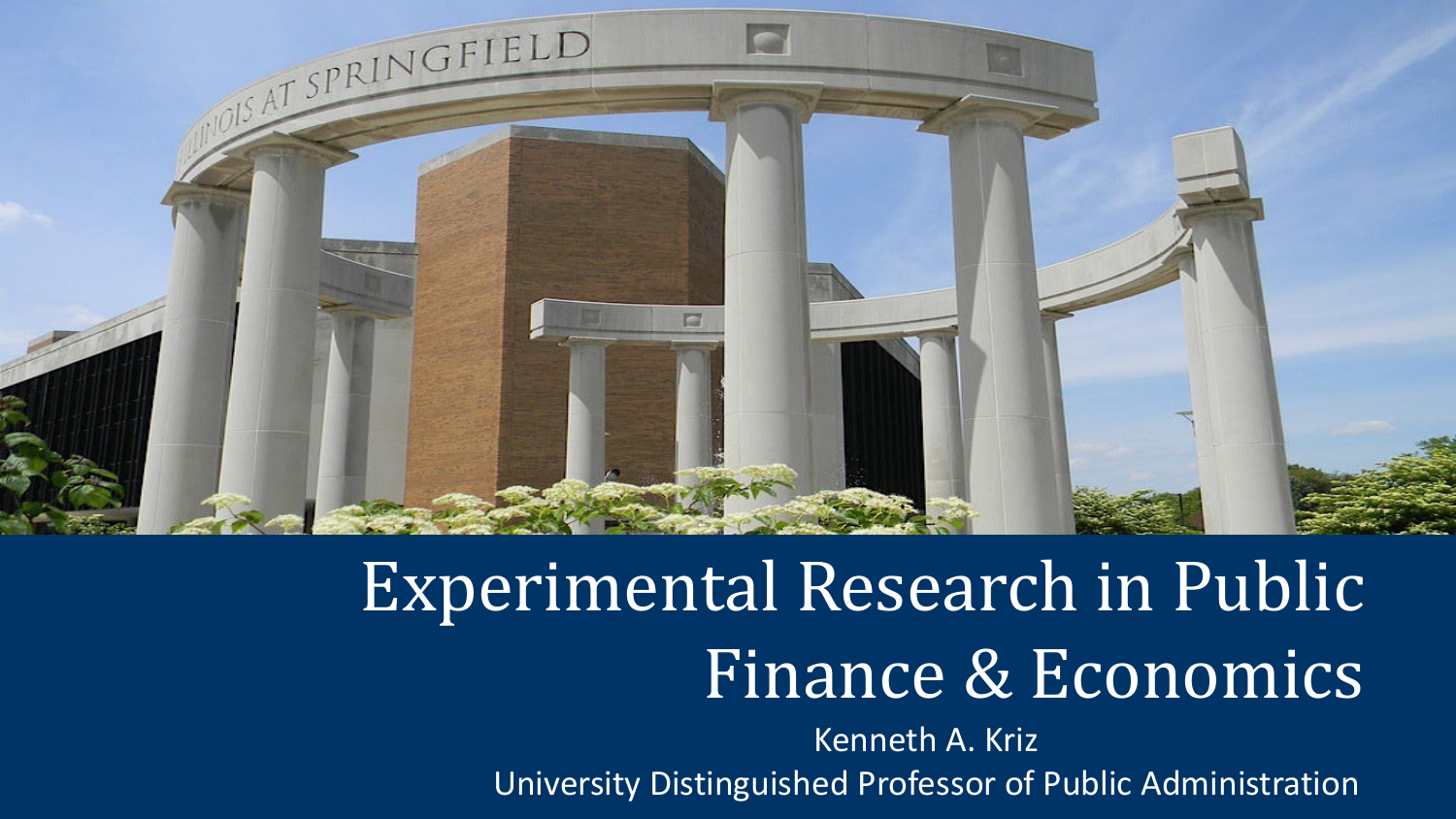

# Experimental Research in Public Finance & Economics

Kenneth A. Kriz University Distinguished Professor of Public Administration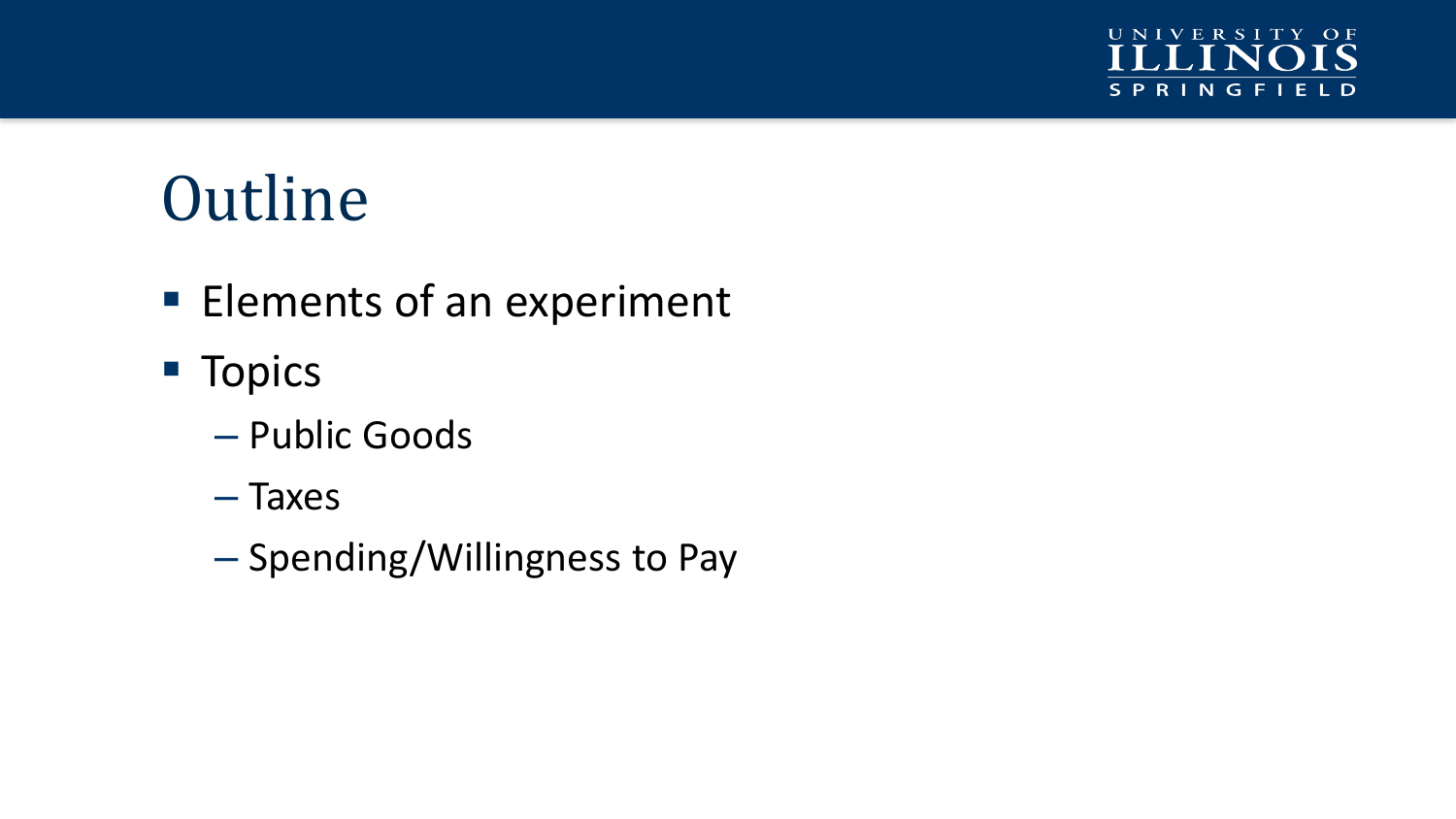

### **Outline**

- **Elements of an experiment**
- **Topics** 
	- Public Goods
	- Taxes
	- Spending/Willingness to Pay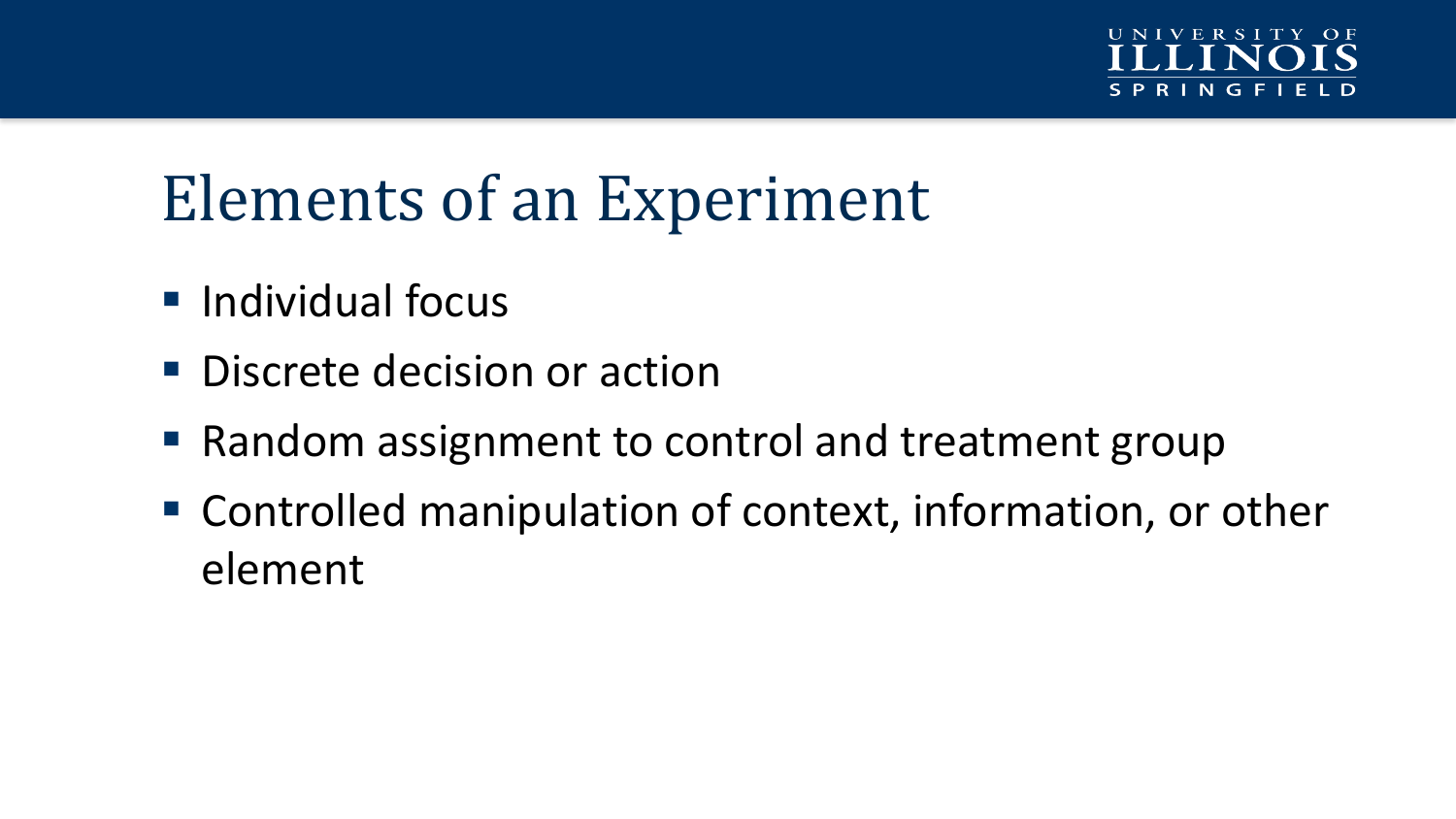### Elements of an Experiment

- $\blacksquare$  Individual focus
- **Discrete decision or action**
- Random assignment to control and treatment group
- Controlled manipulation of context, information, or other element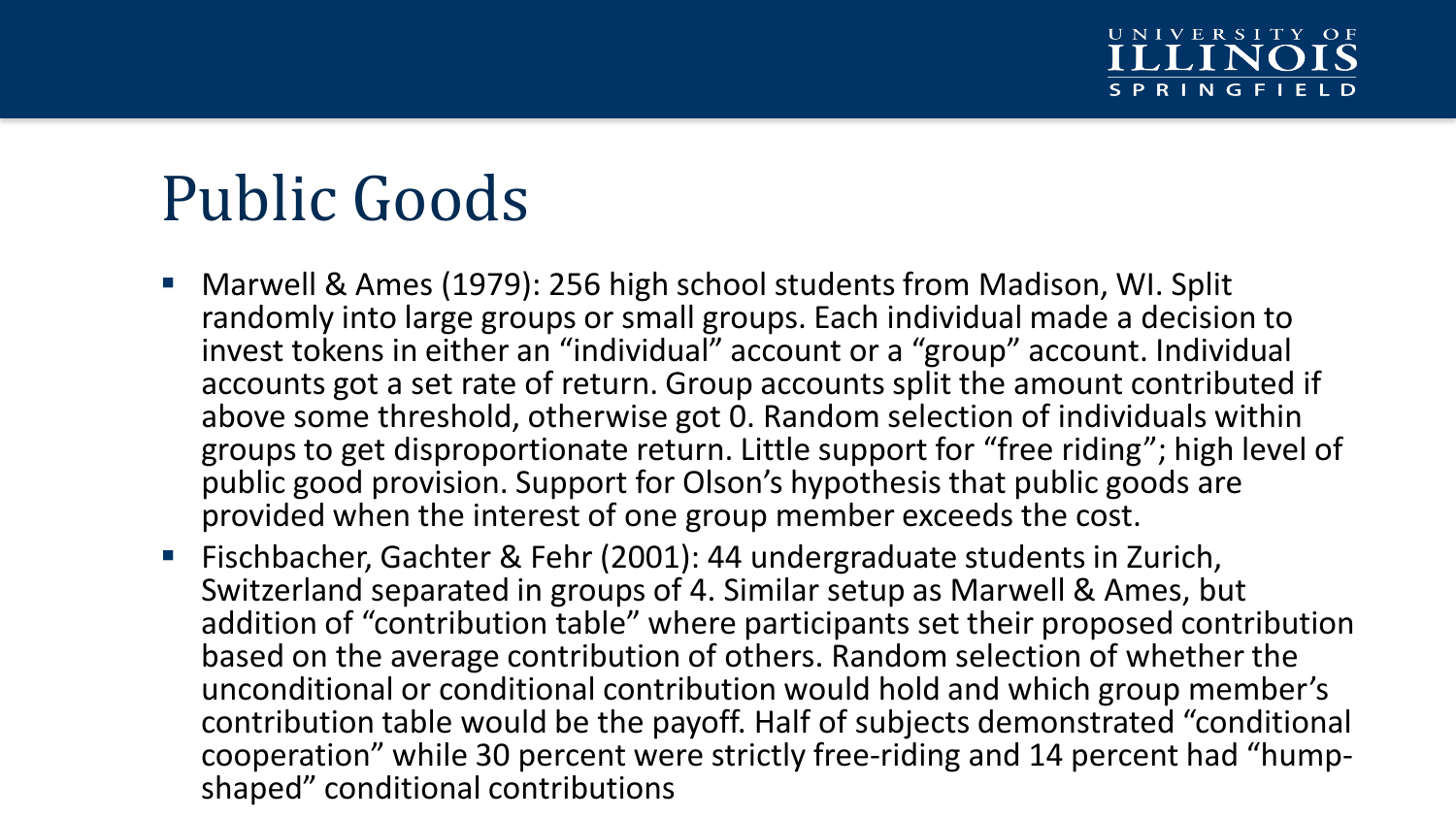### Public Goods

- Marwell & Ames (1979): 256 high school students from Madison, WI. Split randomly into large groups or small groups. Each individual made a decision to invest tokens in either an "individual" account or a "group" account. Individual accounts got a set rate of return. Group accounts split the amount contributed if above some threshold, otherwise got 0. Random selection of individuals within groups to get disproportionate return. Little support for "free riding"; high level of public good provision. Support for Olson's hypothesis that public goods are provided when the interest of one group member exceeds the cost.
- Fischbacher, Gachter & Fehr (2001): 44 undergraduate students in Zurich, Switzerland separated in groups of 4. Similar setup as Marwell & Ames, but addition of "contribution table" where participants set their proposed contribution based on the average contribution of others. Random selection of whether the unconditional or conditional contribution would hold and which group member's contribution table would be the payoff. Half of subjects demonstrated "conditional cooperation" while 30 percent were strictly free-riding and 14 percent had "hump- shaped" conditional contributions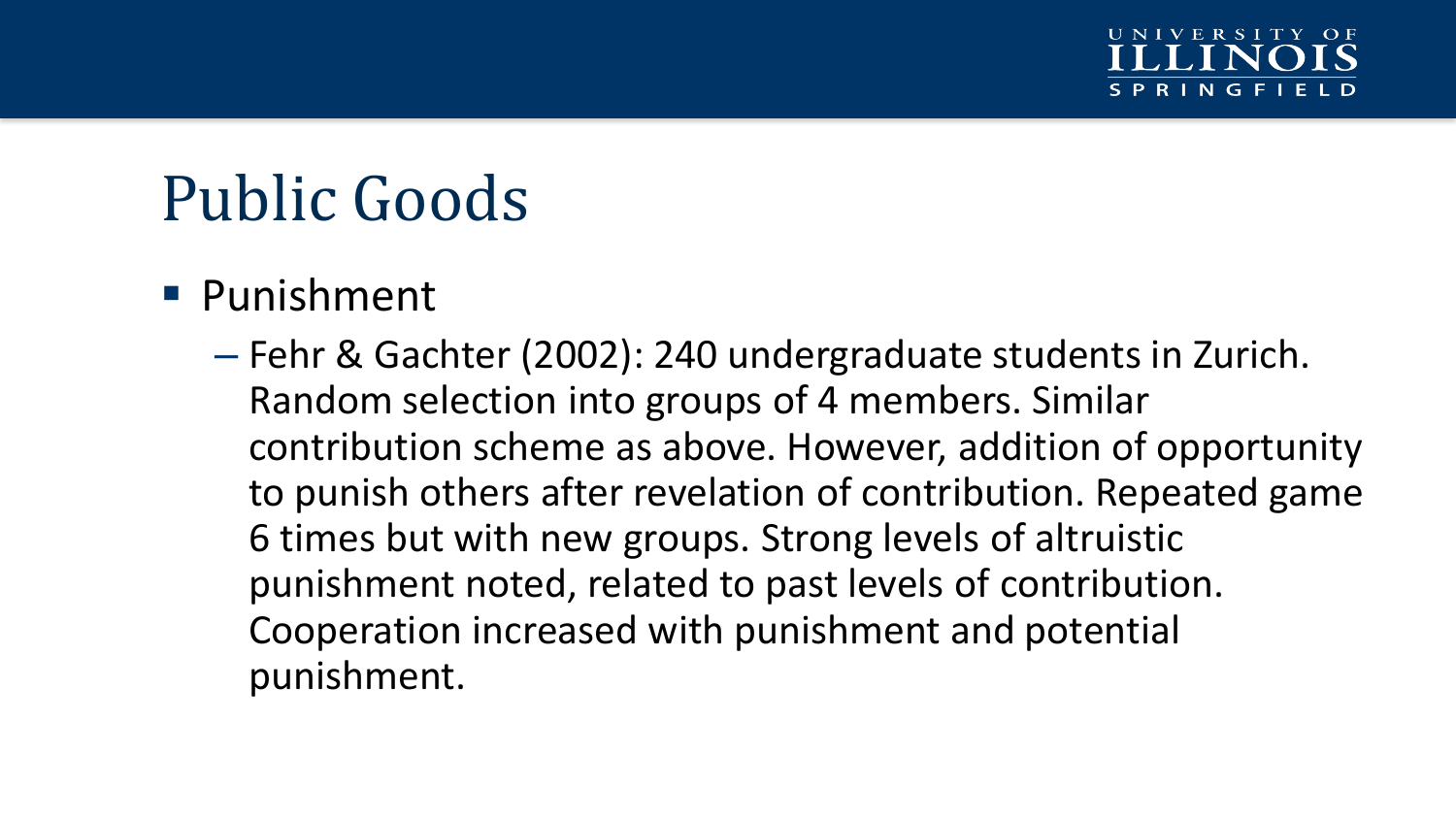### Public Goods

- **Punishment** 
	- Fehr & Gachter (2002): 240 undergraduate students in Zurich. Random selection into groups of 4 members. Similar contribution scheme as above. However, addition of opportunity to punish others after revelation of contribution. Repeated game 6 times but with new groups. Strong levels of altruistic punishment noted, related to past levels of contribution. Cooperation increased with punishment and potential punishment.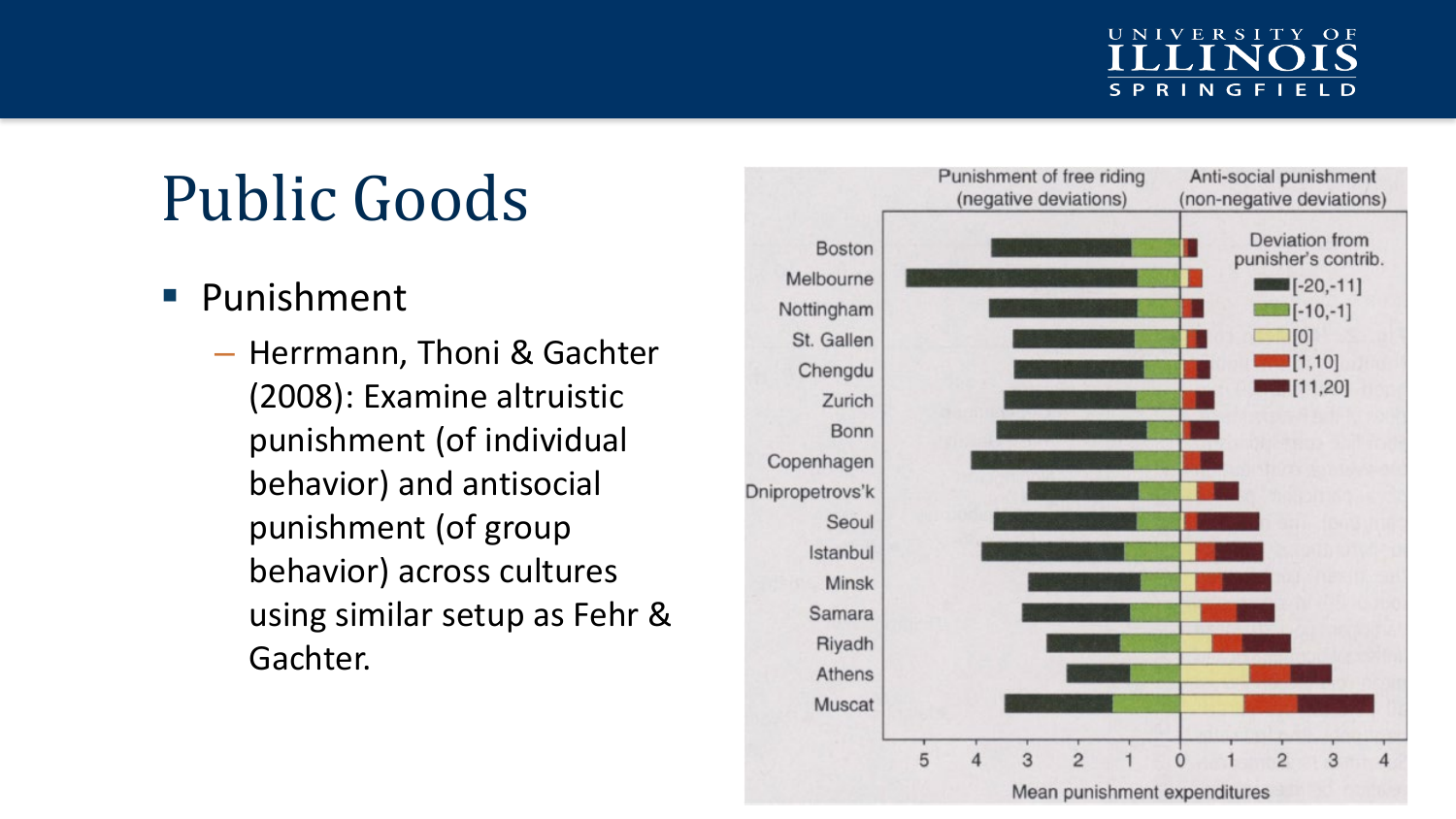#### UNIVERSITY OF IN  $\blacksquare$ **SPRINGFIELD**

### Public Goods

#### ■ Punishment

– Herrmann, Thoni & Gachter (2008): Examine altruistic punishment (of individual behavior) and antisocial punishment (of group behavior) across cultures using similar setup as Fehr & Gachter.

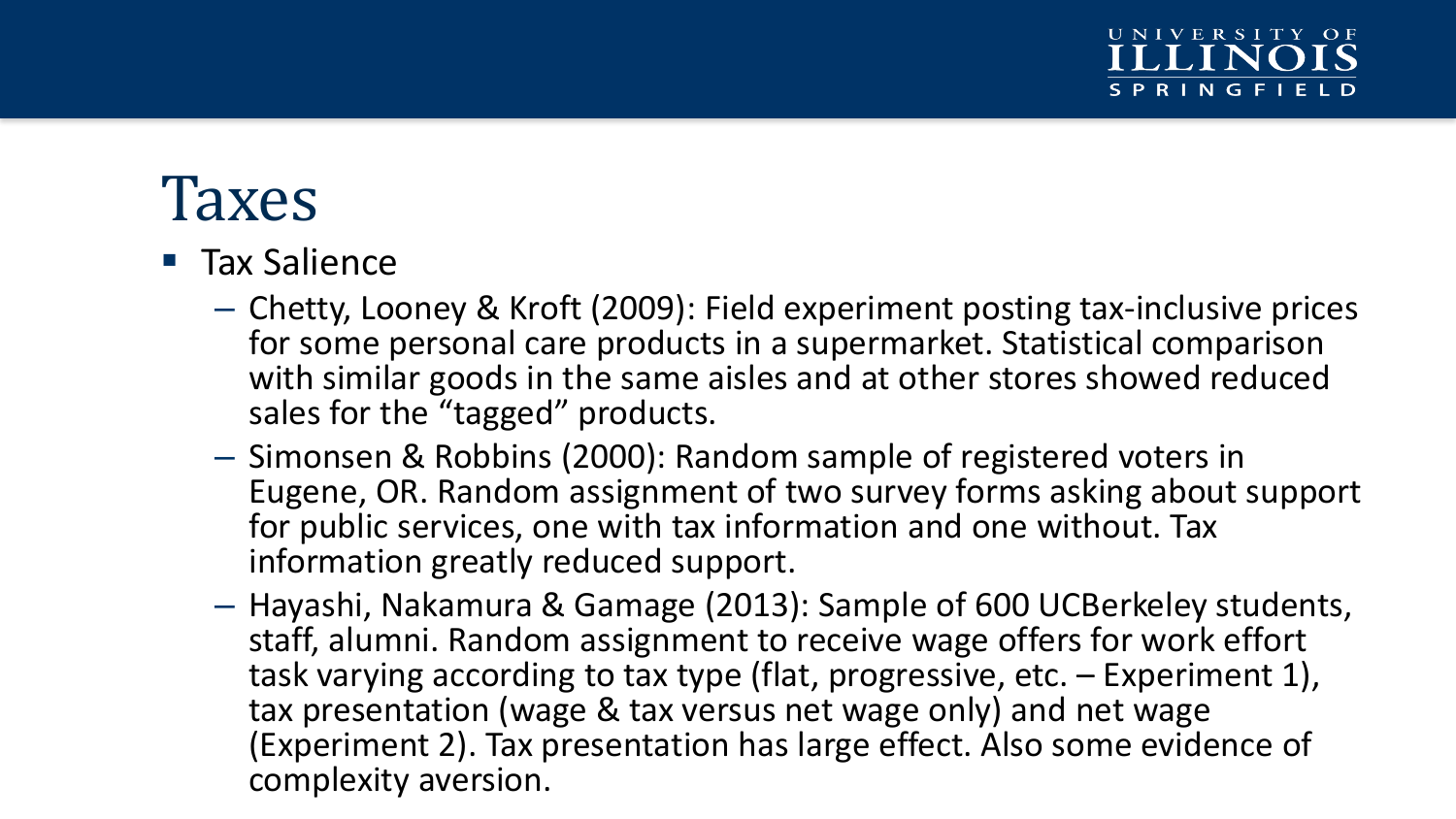### Taxes

#### Tax Salience

- Chetty, Looney & Kroft (2009): Field experiment posting tax-inclusive prices for some personal care products in a supermarket. Statistical comparison with similar goods in the same aisles and at other stores showed reduced sales for the "tagged" products.
- Simonsen & Robbins (2000): Random sample of registered voters in Eugene, OR. Random assignment of two survey forms asking about support for public services, one with tax information and one without. Tax information greatly reduced support.
- Hayashi, Nakamura & Gamage (2013): Sample of 600 UCBerkeley students, staff, alumni. Random assignment to receive wage offers for work effort task varying according to tax type (flat, progressive, etc. – Experiment 1), tax presentation (wage & tax versus net wage only) and net wage (Experiment 2). Tax presentation has large effect. Also some evidence of complexity aversion.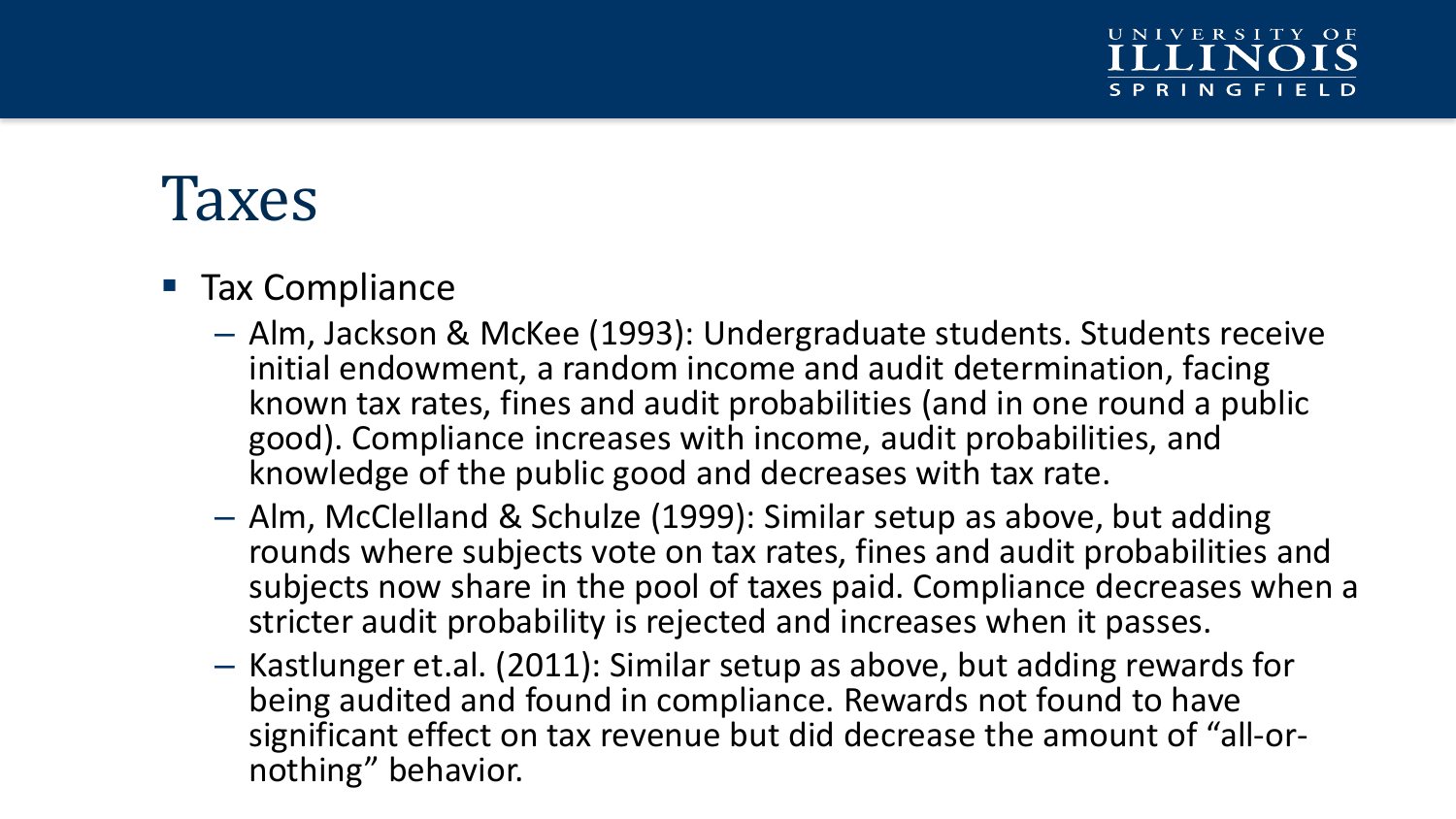### Taxes

#### **Tax Compliance**

- Alm, Jackson & McKee (1993): Undergraduate students. Students receive initial endowment, a random income and audit determination, facing known tax rates, fines and audit probabilities (and in one round a public good). Compliance increases with income, audit probabilities, and knowledge of the public good and decreases with tax rate.
- Alm, McClelland & Schulze (1999): Similar setup as above, but adding rounds where subjects vote on tax rates, fines and audit probabilities and subjects now share in the pool of taxes paid. Compliance decreases when a stricter audit probability is rejected and increases when it passes.
- Kastlunger et.al. (2011): Similar setup as above, but adding rewards for being audited and found in compliance. Rewards not found to have significant effect on tax revenue but did decrease the amount of "all-or- nothing" behavior.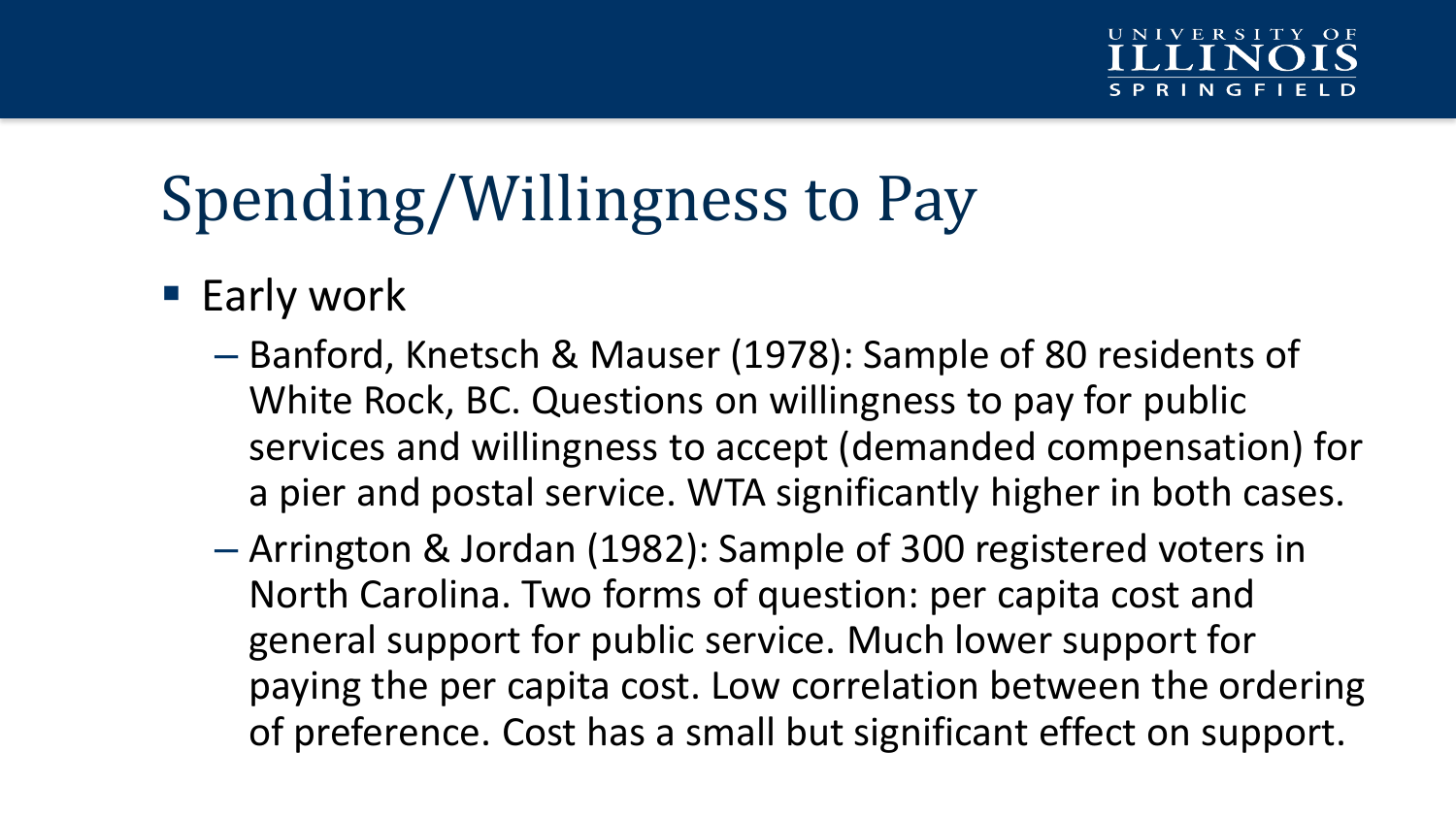- **Early work** 
	- Banford, Knetsch & Mauser (1978): Sample of 80 residents of White Rock, BC. Questions on willingness to pay for public services and willingness to accept (demanded compensation) for a pier and postal service. WTA significantly higher in both cases.
	- Arrington & Jordan (1982): Sample of 300 registered voters in North Carolina. Two forms of question: per capita cost and general support for public service. Much lower support for paying the per capita cost. Low correlation between the ordering of preference. Cost has a small but significant effect on support.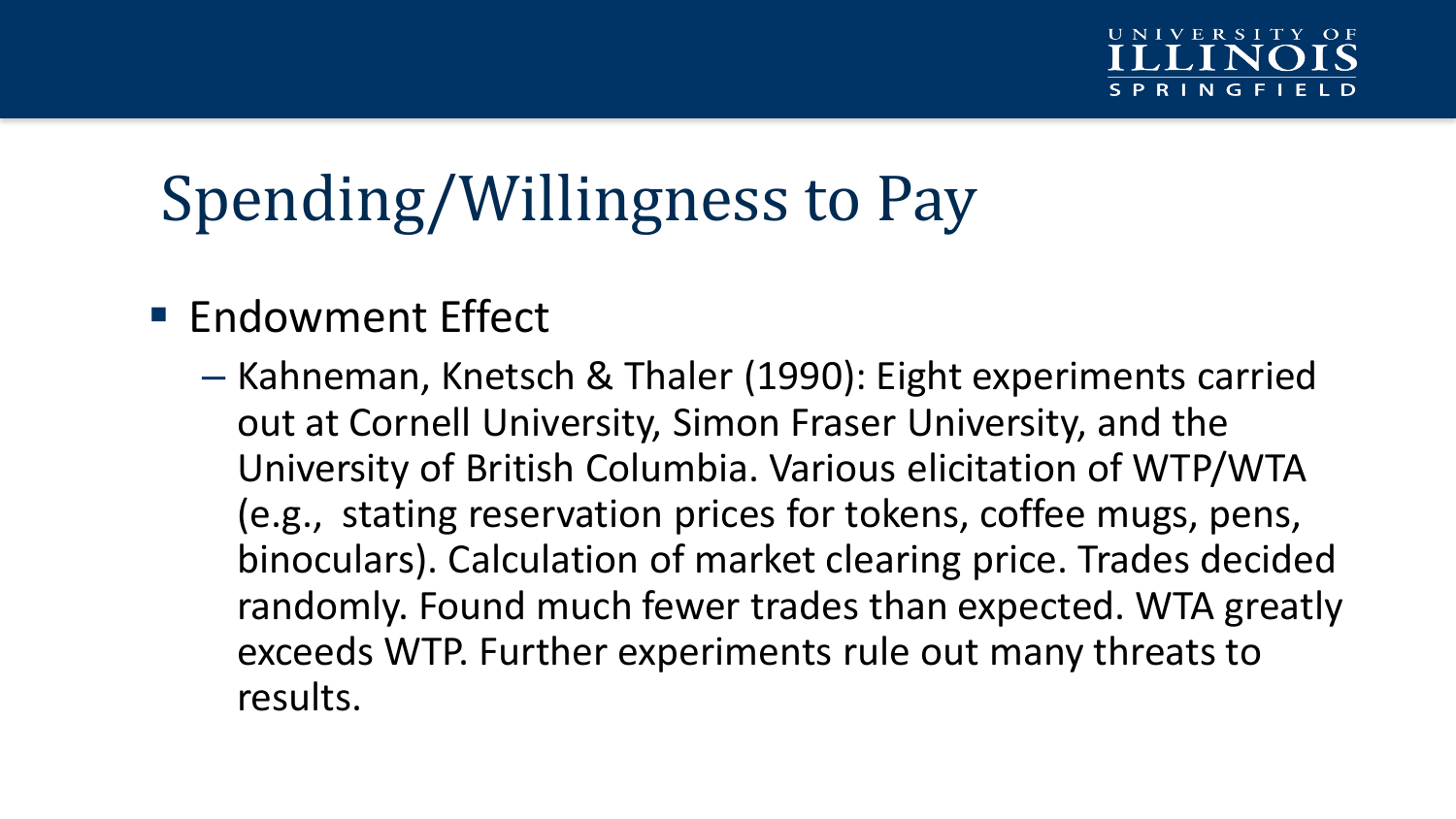### **Endowment Effect**

– Kahneman, Knetsch & Thaler (1990): Eight experiments carried out at Cornell University, Simon Fraser University, and the University of British Columbia. Various elicitation of WTP/WTA (e.g., stating reservation prices for tokens, coffee mugs, pens, binoculars). Calculation of market clearing price. Trades decided randomly. Found much fewer trades than expected. WTA greatly exceeds WTP. Further experiments rule out many threats to results.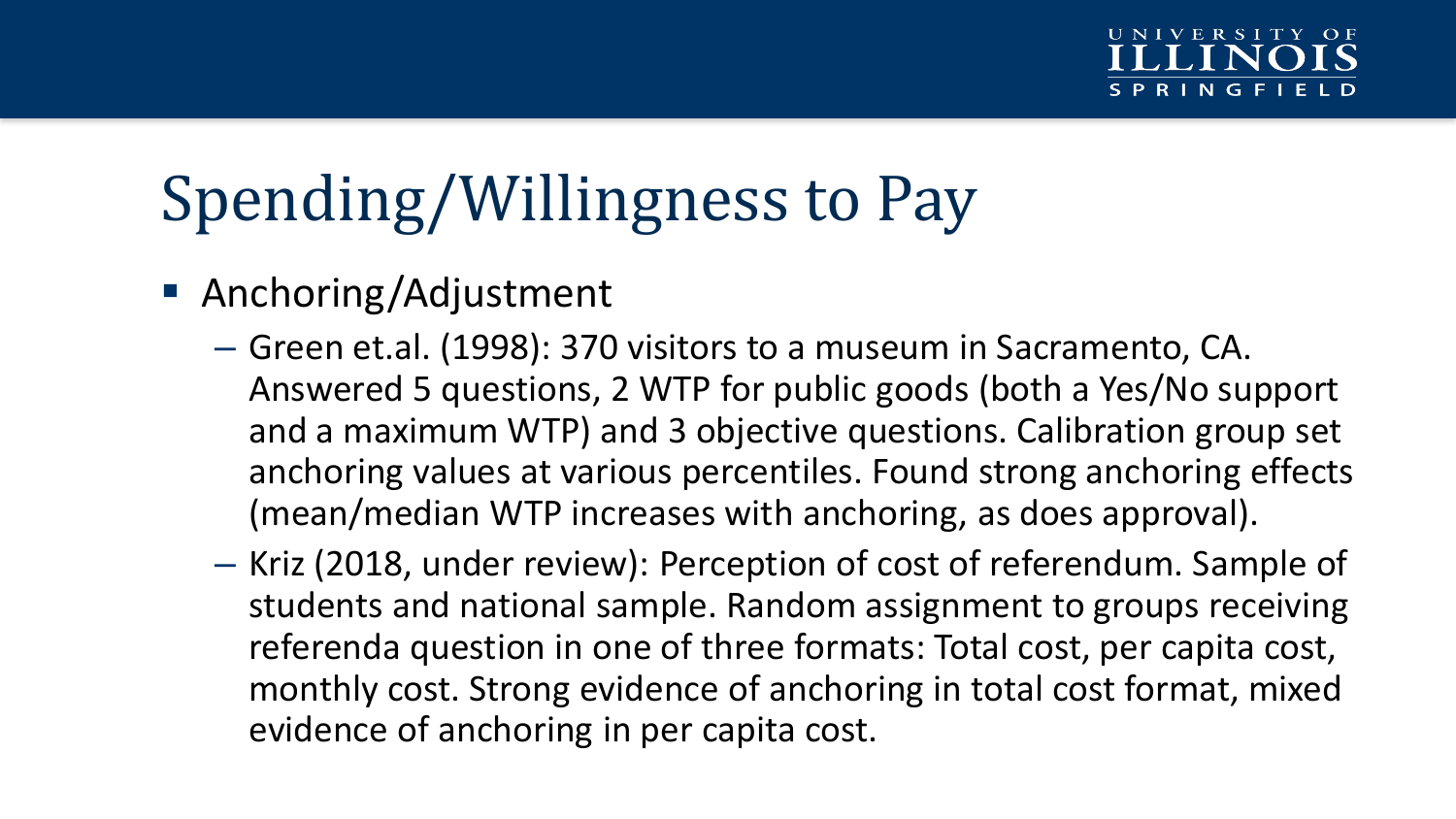- **Anchoring/Adjustment** 
	- Green et.al. (1998): 370 visitors to a museum in Sacramento, CA. Answered 5 questions, 2 WTP for public goods (both a Yes/No support and a maximum WTP) and 3 objective questions. Calibration group set anchoring values at various percentiles. Found strong anchoring effects (mean/median WTP increases with anchoring, as does approval).
	- Kriz (2018, under review): Perception of cost of referendum. Sample of students and national sample. Random assignment to groups receiving referenda question in one of three formats: Total cost, per capita cost, monthly cost. Strong evidence of anchoring in total cost format, mixed evidence of anchoring in per capita cost.